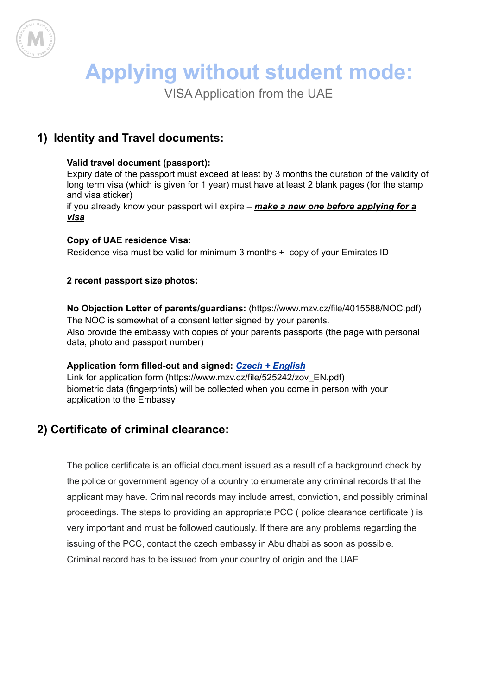

# **Applying without student mode:**

VISA Application from the UAE

# **1) Identity and Travel documents:**

#### **Valid travel document (passport):**

Expiry date of the passport must exceed at least by 3 months the duration of the validity of long term visa (which is given for 1 year) must have at least 2 blank pages (for the stamp and visa sticker)

if you already know your passport will expire – *make a new one before applying for a visa*

#### **Copy of UAE residence Visa:**

Residence visa must be valid for minimum 3 months + copy of your Emirates ID

#### **2 recent passport size photos:**

**No Objection Letter of parents/guardians:** (https://www.mzv.cz/file/4015588/NOC.pdf) The NOC is somewhat of a consent letter signed by your parents. Also provide the embassy with copies of your parents passports (the page with personal data, photo and passport number)

#### **Application form filled-out and signed:** *Czech + [English](https://www.mzv.cz/public/45/84/57/525242_423344_zov_EN.pdf)*

Link for application form (https://www.mzv.cz/file/525242/zov\_EN.pdf) biometric data (fingerprints) will be collected when you come in person with your application to the Embassy

## **2) Certificate of criminal clearance:**

The police certificate is an official document issued as a result of a [background](https://en.wikipedia.org/wiki/Background_check) check by the [police](https://en.wikipedia.org/wiki/Police) or government agency of a country to enumerate any criminal records that the applicant may have. Criminal records may include [arrest,](https://en.wikipedia.org/wiki/Arrest) [conviction,](https://en.wikipedia.org/wiki/Conviction) and possibly criminal proceedings. The steps to providing an appropriate PCC ( police clearance certificate ) is very important and must be followed cautiously. If there are any problems regarding the issuing of the PCC, contact the czech embassy in Abu dhabi as soon as possible. Criminal record has to be issued from your country of origin and the UAE.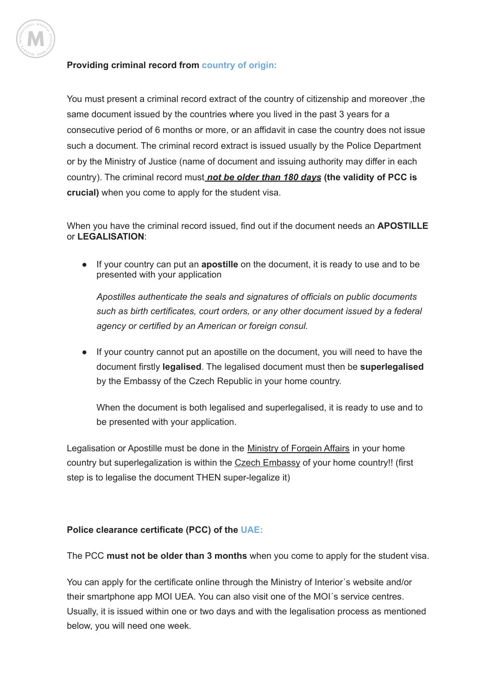

#### **Providing criminal record from country of origin:**

You must present a criminal record extract of the country of citizenship and moreover ,the same document issued by the countries where you lived in the past 3 years for a consecutive period of 6 months or more, or an affidavit in case the country does not issue such a document. The criminal record extract is issued usually by the Police Department or by the Ministry of Justice (name of document and issuing authority may differ in each country). The criminal record must *not be older than 180 days* **(the validity of PCC is crucial)** when you come to apply for the student visa.

When you have the criminal record issued, find out if the document needs an **APOSTILLE** or **LEGALISATION**:

If your country can put an **apostille** on the document, it is ready to use and to be presented with your application

*Apostilles authenticate the seals and signatures of officials on public documents such as birth certificates, court orders, or any other document issued by a federal agency or certified by an American or foreign consul.*

● If your country cannot put an apostille on the document, you will need to have the document firstly **legalised**. The legalised document must then be **superlegalised** by the Embassy of the Czech Republic in your home country.

When the document is both legalised and superlegalised, it is ready to use and to be presented with your application.

Legalisation or Apostille must be done in the Ministry of Forgein Affairs in your home country but superlegalization is within the Czech Embassy of your home country!! (first step is to legalise the document THEN super-legalize it)

#### **Police clearance certificate (PCC) of the UAE:**

The PCC **must not be older than 3 months** when you come to apply for the student visa.

You can apply for the certificate online through the Ministry of Interior´s website and/or their smartphone app MOI UEA. You can also visit one of the MOI´s service centres. Usually, it is issued within one or two days and with the legalisation process as mentioned below, you will need one week.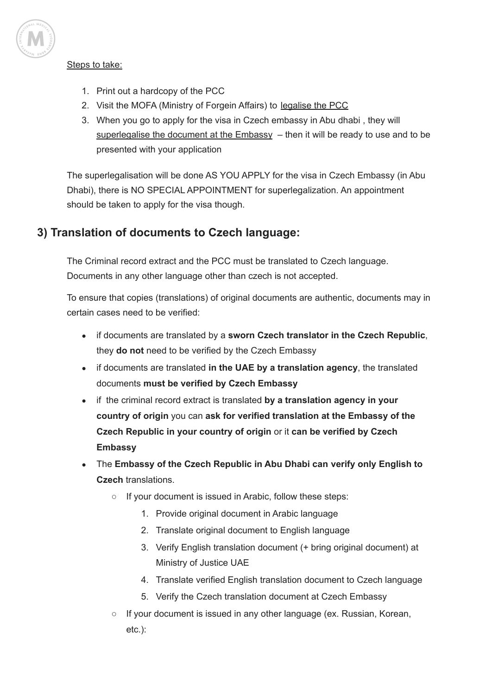

#### Steps to take:

- 1. Print out a hardcopy of the PCC
- 2. Visit the MOFA (Ministry of Forgein Affairs) to legalise the PCC
- 3. When you go to apply for the visa in Czech embassy in Abu dhabi , they will superlegalise the document at the  $Embassy -$  then it will be ready to use and to be presented with your application

The superlegalisation will be done AS YOU APPLY for the visa in Czech Embassy (in Abu Dhabi), there is NO SPECIAL APPOINTMENT for superlegalization. An appointment should be taken to apply for the visa though.

## **3) Translation of documents to Czech language:**

The Criminal record extract and the PCC must be translated to Czech language. Documents in any other language other than czech is not accepted.

To ensure that copies (translations) of original documents are authentic, documents may in certain cases need to be verified:

- if documents are translated by a **sworn Czech translator in the Czech Republic**, they **do not** need to be verified by the Czech Embassy
- if documents are translated **in the UAE by a translation agency**, the translated documents **must be verified by Czech Embassy**
- if the criminal record extract is translated **by a translation agency in your country of origin** you can **ask for verified translation at the Embassy of the Czech Republic in your country of origin** or it **can be verified by Czech Embassy**
- The **Embassy of the Czech Republic in Abu Dhabi can verify only English to Czech** translations.
	- If your document is issued in Arabic, follow these steps:
		- 1. Provide original document in Arabic language
		- 2. Translate original document to English language
		- 3. Verify English translation document (+ bring original document) at Ministry of Justice UAE
		- 4. Translate verified English translation document to Czech language
		- 5. Verify the Czech translation document at Czech Embassy
	- If your document is issued in any other language (ex. Russian, Korean, etc.):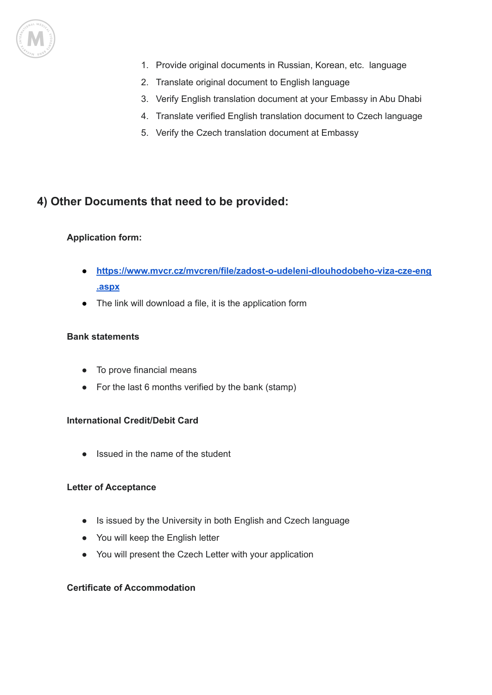

- 1. Provide original documents in Russian, Korean, etc. language
- 2. Translate original document to English language
- 3. Verify English translation document at your Embassy in Abu Dhabi
- 4. Translate verified English translation document to Czech language
- 5. Verify the Czech translation document at Embassy

### **4) Other Documents that need to be provided:**

#### **Application form:**

- **[https://www.mvcr.cz/mvcren/file/zadost-o-udeleni-dlouhodobeho-viza-cze-eng](https://www.mvcr.cz/mvcren/file/zadost-o-udeleni-dlouhodobeho-viza-cze-eng.aspx) [.aspx](https://www.mvcr.cz/mvcren/file/zadost-o-udeleni-dlouhodobeho-viza-cze-eng.aspx)**
- The link will download a file, it is the application form

#### **Bank statements**

- To prove financial means
- For the last 6 months verified by the bank (stamp)

#### **International Credit/Debit Card**

● Issued in the name of the student

#### **Letter of Acceptance**

- Is issued by the University in both English and Czech language
- You will keep the English letter
- You will present the Czech Letter with your application

#### **Certificate of Accommodation**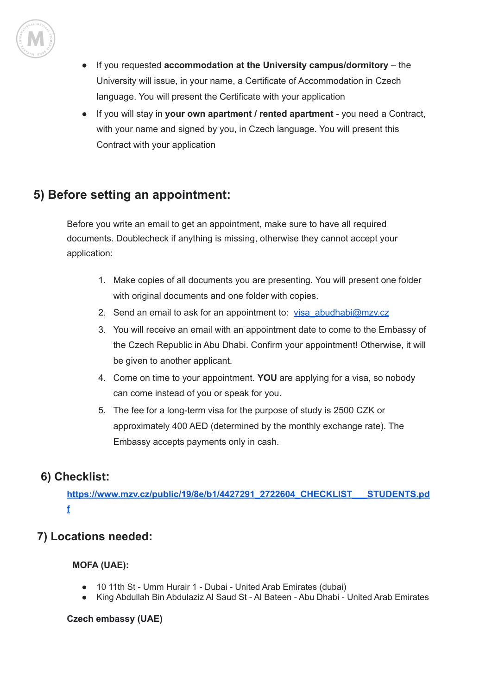

- If you requested **accommodation at the University campus/dormitory** the University will issue, in your name, a Certificate of Accommodation in Czech language. You will present the Certificate with your application
- If you will stay in **your own apartment / rented apartment** you need a Contract, with your name and signed by you, in Czech language. You will present this Contract with your application

# **5) Before setting an appointment:**

Before you write an email to get an appointment, make sure to have all required documents. Doublecheck if anything is missing, otherwise they cannot accept your application:

- 1. Make copies of all documents you are presenting. You will present one folder with original documents and one folder with copies.
- 2. Send an email to ask for an appointment to: [visa\\_abudhabi@mzv.cz](mailto:visa_abudhabi@mzv.cz)
- 3. You will receive an email with an appointment date to come to the Embassy of the Czech Republic in Abu Dhabi. Confirm your appointment! Otherwise, it will be given to another applicant.
- 4. Come on time to your appointment. **YOU** are applying for a visa, so nobody can come instead of you or speak for you.
- 5. The fee for a long-term visa for the purpose of study is 2500 CZK or approximately 400 AED (determined by the monthly exchange rate). The Embassy accepts payments only in cash.

## **6) Checklist:**

**[https://www.mzv.cz/public/19/8e/b1/4427291\\_2722604\\_CHECKLIST\\_\\_\\_STUDENTS.pd](https://www.mzv.cz/public/19/8e/b1/4427291_2722604_CHECKLIST___STUDENTS.pdf) [f](https://www.mzv.cz/public/19/8e/b1/4427291_2722604_CHECKLIST___STUDENTS.pdf)**

# **7) Locations needed:**

#### **MOFA (UAE):**

- 10 11th St Umm Hurair 1 Dubai United Arab Emirates (dubai)
- King Abdullah Bin Abdulaziz Al Saud St Al Bateen Abu Dhabi United Arab Emirates

#### **Czech embassy (UAE)**